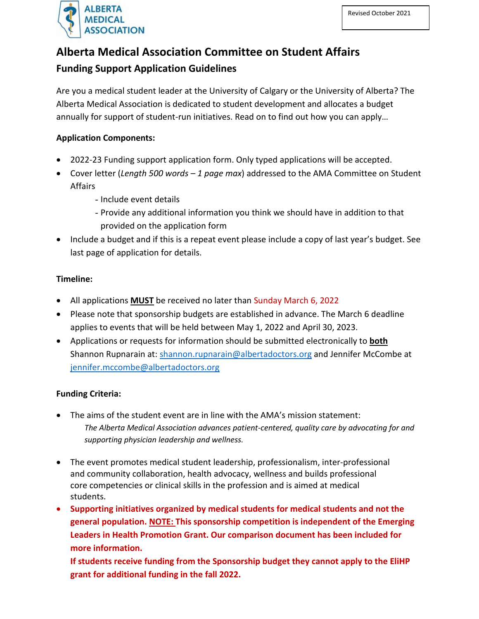

# **Alberta Medical Association Committee on Student Affairs**

## **Funding Support Application Guidelines**

Are you a medical student leader at the University of Calgary or the University of Alberta? The Alberta Medical Association is dedicated to student development and allocates a budget annually for support of student-run initiatives. Read on to find out how you can apply…

#### **Application Components:**

- 2022-23 Funding support application form. Only typed applications will be accepted.
- Cover letter (*Length 500 words – 1 page max*) addressed to the AMA Committee on Student Affairs
	- Include event details
	- Provide any additional information you think we should have in addition to that provided on the application form
- Include a budget and if this is a repeat event please include a copy of last year's budget. See last page of application for details.

#### **Timeline:**

- All applications **MUST** be received no later than Sunday March 6, 2022
- Please note that sponsorship budgets are established in advance. The March 6 deadline applies to events that will be held between May 1, 2022 and April 30, 2023.
- Applications or requests for information should be submitted electronically to **both** Shannon Rupnarain at: [shannon.rupnarain@albertadoctors.org](mailto:shannon.rupnarain@albertadoctors.org) and Jennifer McCombe at [jennifer.mccombe@albertadoctors.org](mailto:jennifer.mccombe@albertadoctors.org)

#### **Funding Criteria:**

- The aims of the student event are in line with the AMA's mission statement: *The Alberta Medical Association advances patient-centered, quality care by advocating for and supporting physician leadership and wellness.*
- The event promotes medical student leadership, professionalism, inter-professional and community collaboration, health advocacy, wellness and builds professional core competencies or clinical skills in the profession and is aimed at medical students.
- **Supporting initiatives organized by medical students for medical students and not the general population. NOTE: This sponsorship competition is independent of the Emerging Leaders in Health Promotion Grant. Our comparison document has been included for more information.**

**If students receive funding from the Sponsorship budget they cannot apply to the EliHP grant for additional funding in the fall 2022.**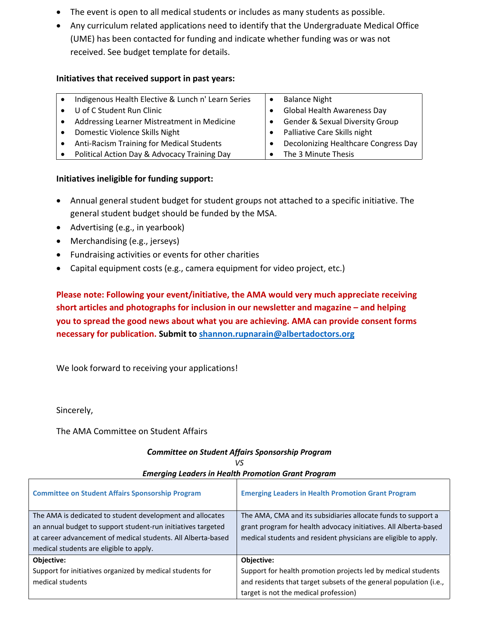- The event is open to all medical students or includes as many students as possible.
- Any curriculum related applications need to identify that the Undergraduate Medical Office (UME) has been contacted for funding and indicate whether funding was or was not received. See budget template for details.

#### **Initiatives that received support in past years:**

| Indigenous Health Elective & Lunch n' Learn Series | <b>Balance Night</b>                       |
|----------------------------------------------------|--------------------------------------------|
| U of C Student Run Clinic                          | <b>Global Health Awareness Day</b>         |
| Addressing Learner Mistreatment in Medicine        | <b>Gender &amp; Sexual Diversity Group</b> |
| Domestic Violence Skills Night                     | Palliative Care Skills night               |
| Anti-Racism Training for Medical Students          | Decolonizing Healthcare Congress Day       |
| Political Action Day & Advocacy Training Day       | The 3 Minute Thesis                        |

#### **Initiatives ineligible for funding support:**

- Annual general student budget for student groups not attached to a specific initiative. The general student budget should be funded by the MSA.
- Advertising (e.g., in yearbook)
- Merchandising (e.g., jerseys)
- Fundraising activities or events for other charities
- Capital equipment costs (e.g., camera equipment for video project, etc.)

**Please note: Following your event/initiative, the AMA would very much appreciate receiving short articles and photographs for inclusion in our newsletter and magazine – and helping you to spread the good news about what you are achieving. AMA can provide consent forms necessary for publication. Submit to [shannon.rupnarain@albertadoctors.org](mailto:shannon.rupnarain@albertadoctors.org)**

We look forward to receiving your applications!

Sincerely,

The AMA Committee on Student Affairs

## *Committee on Student Affairs Sponsorship Program*

| <b>Committee on Student Affairs Sponsorship Program</b>      | <b>Emerging Leaders in Health Promotion Grant Program</b>          |
|--------------------------------------------------------------|--------------------------------------------------------------------|
| The AMA is dedicated to student development and allocates    | The AMA, CMA and its subsidiaries allocate funds to support a      |
| an annual budget to support student-run initiatives targeted | grant program for health advocacy initiatives. All Alberta-based   |
| at career advancement of medical students. All Alberta-based | medical students and resident physicians are eligible to apply.    |
| medical students are eligible to apply.                      |                                                                    |
| <b>Objective:</b>                                            | Objective:                                                         |
| Support for initiatives organized by medical students for    | Support for health promotion projects led by medical students      |
| medical students                                             | and residents that target subsets of the general population (i.e., |
|                                                              | target is not the medical profession)                              |

#### *VS Emerging Leaders in Health Promotion Grant Program*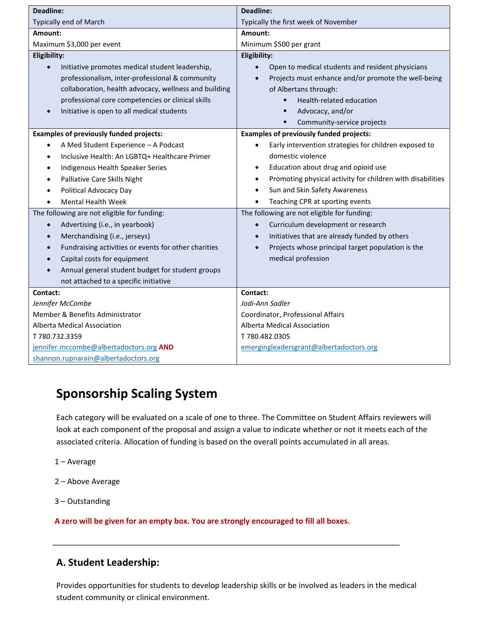| <b>Deadline:</b>                                                                                                                                                                                                                                                                                                                                                                                                                                                                                                                                                                      | <b>Deadline:</b>                                                                                                                                                                                                                                                                                                                                                                                                                                                                                                                                                          |  |
|---------------------------------------------------------------------------------------------------------------------------------------------------------------------------------------------------------------------------------------------------------------------------------------------------------------------------------------------------------------------------------------------------------------------------------------------------------------------------------------------------------------------------------------------------------------------------------------|---------------------------------------------------------------------------------------------------------------------------------------------------------------------------------------------------------------------------------------------------------------------------------------------------------------------------------------------------------------------------------------------------------------------------------------------------------------------------------------------------------------------------------------------------------------------------|--|
| Typically end of March                                                                                                                                                                                                                                                                                                                                                                                                                                                                                                                                                                | Typically the first week of November                                                                                                                                                                                                                                                                                                                                                                                                                                                                                                                                      |  |
| Amount:                                                                                                                                                                                                                                                                                                                                                                                                                                                                                                                                                                               | Amount:                                                                                                                                                                                                                                                                                                                                                                                                                                                                                                                                                                   |  |
| Maximum \$3,000 per event                                                                                                                                                                                                                                                                                                                                                                                                                                                                                                                                                             | Minimum \$500 per grant                                                                                                                                                                                                                                                                                                                                                                                                                                                                                                                                                   |  |
| <b>Eligibility:</b>                                                                                                                                                                                                                                                                                                                                                                                                                                                                                                                                                                   | <b>Eligibility:</b>                                                                                                                                                                                                                                                                                                                                                                                                                                                                                                                                                       |  |
| Initiative promotes medical student leadership,<br>$\bullet$<br>professionalism, inter-professional & community<br>collaboration, health advocacy, wellness and building<br>professional core competencies or clinical skills<br>Initiative is open to all medical students<br><b>Examples of previously funded projects:</b><br>A Med Student Experience - A Podcast<br>$\bullet$<br>Inclusive Health: An LGBTQ+ Healthcare Primer<br>$\bullet$<br>Indigenous Health Speaker Series<br>$\bullet$<br>Palliative Care Skills Night<br>$\bullet$<br>Political Advocacy Day<br>$\bullet$ | Open to medical students and resident physicians<br>$\bullet$<br>Projects must enhance and/or promote the well-being<br>$\bullet$<br>of Albertans through:<br>Health-related education<br>٠<br>Advocacy, and/or<br>٠<br>Community-service projects<br>٠<br><b>Examples of previously funded projects:</b><br>Early intervention strategies for children exposed to<br>$\bullet$<br>domestic violence<br>Education about drug and opioid use<br>$\bullet$<br>Promoting physical activity for children with disabilities<br>٠<br>Sun and Skin Safety Awareness<br>$\bullet$ |  |
| <b>Mental Health Week</b>                                                                                                                                                                                                                                                                                                                                                                                                                                                                                                                                                             | Teaching CPR at sporting events<br>$\bullet$                                                                                                                                                                                                                                                                                                                                                                                                                                                                                                                              |  |
| The following are not eligible for funding:<br>Advertising (i.e., in yearbook)<br>$\bullet$<br>Merchandising (i.e., jerseys)<br>$\bullet$<br>Fundraising activities or events for other charities<br>$\bullet$<br>Capital costs for equipment<br>$\bullet$<br>Annual general student budget for student groups<br>not attached to a specific initiative                                                                                                                                                                                                                               | The following are not eligible for funding:<br>Curriculum development or research<br>$\bullet$<br>Initiatives that are already funded by others<br>$\bullet$<br>Projects whose principal target population is the<br>$\bullet$<br>medical profession                                                                                                                                                                                                                                                                                                                      |  |
| Contact:                                                                                                                                                                                                                                                                                                                                                                                                                                                                                                                                                                              | Contact:                                                                                                                                                                                                                                                                                                                                                                                                                                                                                                                                                                  |  |
| Jennifer McCombe                                                                                                                                                                                                                                                                                                                                                                                                                                                                                                                                                                      | Jodi-Ann Sadler                                                                                                                                                                                                                                                                                                                                                                                                                                                                                                                                                           |  |
| Member & Benefits Administrator                                                                                                                                                                                                                                                                                                                                                                                                                                                                                                                                                       | Coordinator, Professional Affairs                                                                                                                                                                                                                                                                                                                                                                                                                                                                                                                                         |  |
| Alberta Medical Association                                                                                                                                                                                                                                                                                                                                                                                                                                                                                                                                                           | Alberta Medical Association                                                                                                                                                                                                                                                                                                                                                                                                                                                                                                                                               |  |
| T 780.732.3359                                                                                                                                                                                                                                                                                                                                                                                                                                                                                                                                                                        | T 780.482.0305                                                                                                                                                                                                                                                                                                                                                                                                                                                                                                                                                            |  |
| jennifer.mccombe@albertadoctors.org AND                                                                                                                                                                                                                                                                                                                                                                                                                                                                                                                                               | emergingleadersgrant@albertadoctors.org                                                                                                                                                                                                                                                                                                                                                                                                                                                                                                                                   |  |
| shannon.rupnarain@albertadoctors.org                                                                                                                                                                                                                                                                                                                                                                                                                                                                                                                                                  |                                                                                                                                                                                                                                                                                                                                                                                                                                                                                                                                                                           |  |

# **Sponsorship Scaling System**

Each category will be evaluated on a scale of one to three. The Committee on Student Affairs reviewers will look at each component of the proposal and assign a value to indicate whether or not it meets each of the associated criteria. Allocation of funding is based on the overall points accumulated in all areas.

- 1 Average
- 2 Above Average
- 3 Outstanding

**A zero will be given for an empty box. You are strongly encouraged to fill all boxes.**

## **A. Student Leadership:**

Provides opportunities for students to develop leadership skills or be involved as leaders in the medical student community or clinical environment.

\_\_\_\_\_\_\_\_\_\_\_\_\_\_\_\_\_\_\_\_\_\_\_\_\_\_\_\_\_\_\_\_\_\_\_\_\_\_\_\_\_\_\_\_\_\_\_\_\_\_\_\_\_\_\_\_\_\_\_\_\_\_\_\_\_\_\_\_\_\_\_\_\_\_\_\_\_\_\_\_\_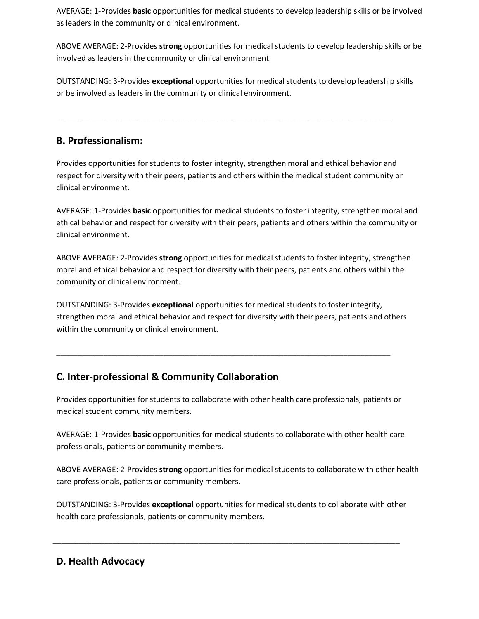AVERAGE: 1-Provides **basic** opportunities for medical students to develop leadership skills or be involved as leaders in the community or clinical environment.

ABOVE AVERAGE: 2-Provides **strong** opportunities for medical students to develop leadership skills or be involved as leaders in the community or clinical environment.

OUTSTANDING: 3-Provides **exceptional** opportunities for medical students to develop leadership skills or be involved as leaders in the community or clinical environment.

\_\_\_\_\_\_\_\_\_\_\_\_\_\_\_\_\_\_\_\_\_\_\_\_\_\_\_\_\_\_\_\_\_\_\_\_\_\_\_\_\_\_\_\_\_\_\_\_\_\_\_\_\_\_\_\_\_\_\_\_\_\_\_\_\_\_\_\_\_\_\_\_\_\_\_\_\_\_

## **B. Professionalism:**

Provides opportunities for students to foster integrity, strengthen moral and ethical behavior and respect for diversity with their peers, patients and others within the medical student community or clinical environment.

AVERAGE: 1-Provides **basic** opportunities for medical students to foster integrity, strengthen moral and ethical behavior and respect for diversity with their peers, patients and others within the community or clinical environment.

ABOVE AVERAGE: 2-Provides **strong** opportunities for medical students to foster integrity, strengthen moral and ethical behavior and respect for diversity with their peers, patients and others within the community or clinical environment.

OUTSTANDING: 3-Provides **exceptional** opportunities for medical students to foster integrity, strengthen moral and ethical behavior and respect for diversity with their peers, patients and others within the community or clinical environment.

\_\_\_\_\_\_\_\_\_\_\_\_\_\_\_\_\_\_\_\_\_\_\_\_\_\_\_\_\_\_\_\_\_\_\_\_\_\_\_\_\_\_\_\_\_\_\_\_\_\_\_\_\_\_\_\_\_\_\_\_\_\_\_\_\_\_\_\_\_\_\_\_\_\_\_\_\_\_

## **C. Inter-professional & Community Collaboration**

Provides opportunities for students to collaborate with other health care professionals, patients or medical student community members.

AVERAGE: 1-Provides **basic** opportunities for medical students to collaborate with other health care professionals, patients or community members.

ABOVE AVERAGE: 2-Provides **strong** opportunities for medical students to collaborate with other health care professionals, patients or community members.

OUTSTANDING: 3-Provides **exceptional** opportunities for medical students to collaborate with other health care professionals, patients or community members.

\_\_\_\_\_\_\_\_\_\_\_\_\_\_\_\_\_\_\_\_\_\_\_\_\_\_\_\_\_\_\_\_\_\_\_\_\_\_\_\_\_\_\_\_\_\_\_\_\_\_\_\_\_\_\_\_\_\_\_\_\_\_\_\_\_\_\_\_\_\_\_\_\_\_\_\_\_\_\_\_\_

## **D. Health Advocacy**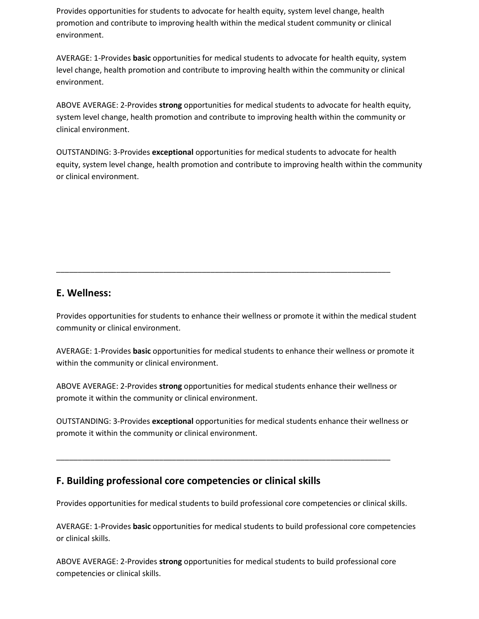Provides opportunities for students to advocate for health equity, system level change, health promotion and contribute to improving health within the medical student community or clinical environment.

AVERAGE: 1-Provides **basic** opportunities for medical students to advocate for health equity, system level change, health promotion and contribute to improving health within the community or clinical environment.

ABOVE AVERAGE: 2-Provides **strong** opportunities for medical students to advocate for health equity, system level change, health promotion and contribute to improving health within the community or clinical environment.

OUTSTANDING: 3-Provides **exceptional** opportunities for medical students to advocate for health equity, system level change, health promotion and contribute to improving health within the community or clinical environment.

## **E. Wellness:**

Provides opportunities for students to enhance their wellness or promote it within the medical student community or clinical environment.

\_\_\_\_\_\_\_\_\_\_\_\_\_\_\_\_\_\_\_\_\_\_\_\_\_\_\_\_\_\_\_\_\_\_\_\_\_\_\_\_\_\_\_\_\_\_\_\_\_\_\_\_\_\_\_\_\_\_\_\_\_\_\_\_\_\_\_\_\_\_\_\_\_\_\_\_\_\_

AVERAGE: 1-Provides **basic** opportunities for medical students to enhance their wellness or promote it within the community or clinical environment.

ABOVE AVERAGE: 2-Provides **strong** opportunities for medical students enhance their wellness or promote it within the community or clinical environment.

OUTSTANDING: 3-Provides **exceptional** opportunities for medical students enhance their wellness or promote it within the community or clinical environment.

\_\_\_\_\_\_\_\_\_\_\_\_\_\_\_\_\_\_\_\_\_\_\_\_\_\_\_\_\_\_\_\_\_\_\_\_\_\_\_\_\_\_\_\_\_\_\_\_\_\_\_\_\_\_\_\_\_\_\_\_\_\_\_\_\_\_\_\_\_\_\_\_\_\_\_\_\_\_

## **F. Building professional core competencies or clinical skills**

Provides opportunities for medical students to build professional core competencies or clinical skills.

AVERAGE: 1-Provides **basic** opportunities for medical students to build professional core competencies or clinical skills.

ABOVE AVERAGE: 2-Provides **strong** opportunities for medical students to build professional core competencies or clinical skills.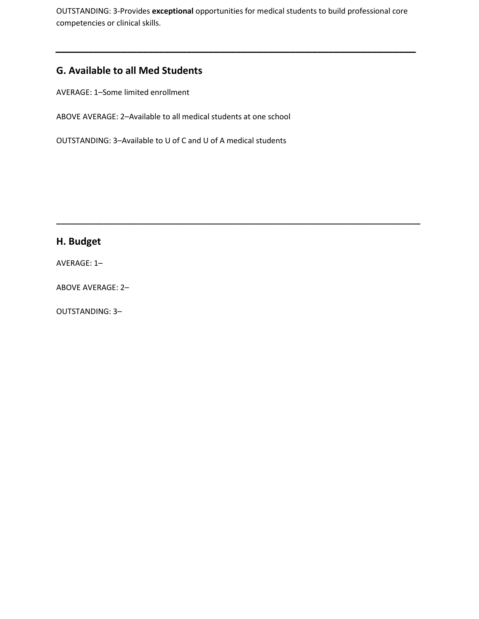OUTSTANDING: 3-Provides **exceptional** opportunities for medical students to build professional core competencies or clinical skills.

*\_\_\_\_\_\_\_\_\_\_\_\_\_\_\_\_\_\_\_\_\_\_\_\_\_\_\_\_\_\_\_\_\_\_\_\_\_\_\_\_\_\_\_\_\_\_\_\_\_\_\_\_\_\_\_\_\_\_\_\_\_\_\_\_\_\_*

**\_\_\_\_\_\_\_\_\_\_\_\_\_\_\_\_\_\_\_\_\_\_\_\_\_\_\_\_\_\_\_\_\_\_\_\_\_\_\_\_\_\_\_\_\_\_\_\_\_\_\_\_\_\_\_\_\_\_\_\_\_\_\_\_\_\_\_\_\_\_\_\_\_\_\_\_\_\_\_\_\_\_\_\_\_**

## **G. Available to all Med Students**

AVERAGE: 1–Some limited enrollment

ABOVE AVERAGE: 2–Available to all medical students at one school

OUTSTANDING: 3–Available to U of C and U of A medical students

## **H. Budget**

AVERAGE: 1–

ABOVE AVERAGE: 2–

OUTSTANDING: 3–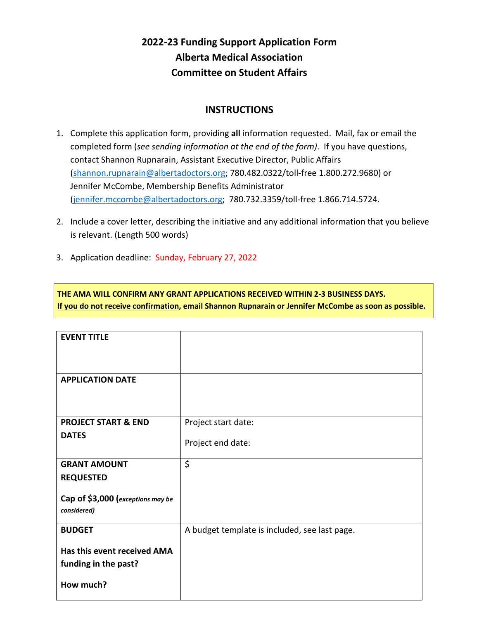# **2022-23 Funding Support Application Form Alberta Medical Association Committee on Student Affairs**

## **INSTRUCTIONS**

- 1. Complete this application form, providing **all** information requested. Mail, fax or email the completed form (*see sending information at the end of the form)*. If you have questions, contact Shannon Rupnarain, Assistant Executive Director, Public Affairs [\(shannon.rupnarain@albertadoctors.org;](mailto:shannon.rupnarain@albertadoctors.org) 780.482.0322/toll-free 1.800.272.9680) or Jennifer McCombe, Membership Benefits Administrator [\(jennifer.mccombe@albertadoctors.org;](mailto:jennifer.mccombe@albertadoctors.org) 780.732.3359/toll-free 1.866.714.5724.
- 2. Include a cover letter, describing the initiative and any additional information that you believe is relevant. (Length 500 words)
- 3. Application deadline: Sunday, February 27, 2022

**THE AMA WILL CONFIRM ANY GRANT APPLICATIONS RECEIVED WITHIN 2-3 BUSINESS DAYS. If you do not receive confirmation, email Shannon Rupnarain or Jennifer McCombe as soon as possible.**

| <b>EVENT TITLE</b>                |                                               |
|-----------------------------------|-----------------------------------------------|
|                                   |                                               |
| <b>APPLICATION DATE</b>           |                                               |
|                                   |                                               |
| <b>PROJECT START &amp; END</b>    | Project start date:                           |
| <b>DATES</b>                      | Project end date:                             |
| <b>GRANT AMOUNT</b>               | \$                                            |
| <b>REQUESTED</b>                  |                                               |
| Cap of \$3,000 (exceptions may be |                                               |
| considered)                       |                                               |
| <b>BUDGET</b>                     | A budget template is included, see last page. |
| Has this event received AMA       |                                               |
| funding in the past?              |                                               |
| How much?                         |                                               |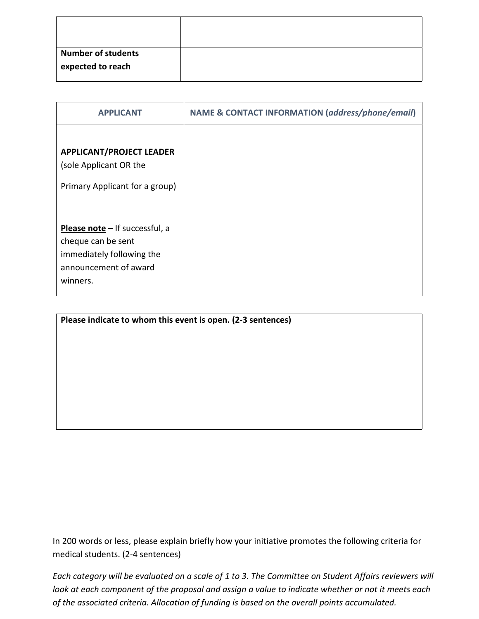| <b>Number of students</b><br>expected to reach |  |
|------------------------------------------------|--|

| <b>APPLICANT</b>                                                                                                       | <b>NAME &amp; CONTACT INFORMATION (address/phone/email)</b> |
|------------------------------------------------------------------------------------------------------------------------|-------------------------------------------------------------|
| <b>APPLICANT/PROJECT LEADER</b><br>(sole Applicant OR the<br>Primary Applicant for a group)                            |                                                             |
| Please note - If successful, a<br>cheque can be sent<br>immediately following the<br>announcement of award<br>winners. |                                                             |

In 200 words or less, please explain briefly how your initiative promotes the following criteria for medical students. (2-4 sentences)

*Each category will be evaluated on a scale of 1 to 3. The Committee on Student Affairs reviewers will look at each component of the proposal and assign a value to indicate whether or not it meets each of the associated criteria. Allocation of funding is based on the overall points accumulated.*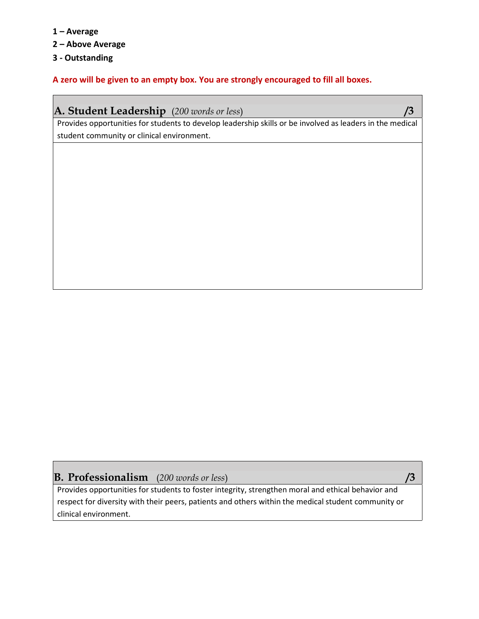- **1 – Average**
- **2 – Above Average**
- **3 - Outstanding**

**A zero will be given to an empty box. You are strongly encouraged to fill all boxes.**

| <b>A. Student Leadership</b> (200 words or less) |  |  |
|--------------------------------------------------|--|--|
|--------------------------------------------------|--|--|

Provides opportunities for students to develop leadership skills or be involved as leaders in the medical student community or clinical environment.

## **B. Professionalism** (*200 words or less*) **/3**

Provides opportunities for students to foster integrity, strengthen moral and ethical behavior and respect for diversity with their peers, patients and others within the medical student community or clinical environment.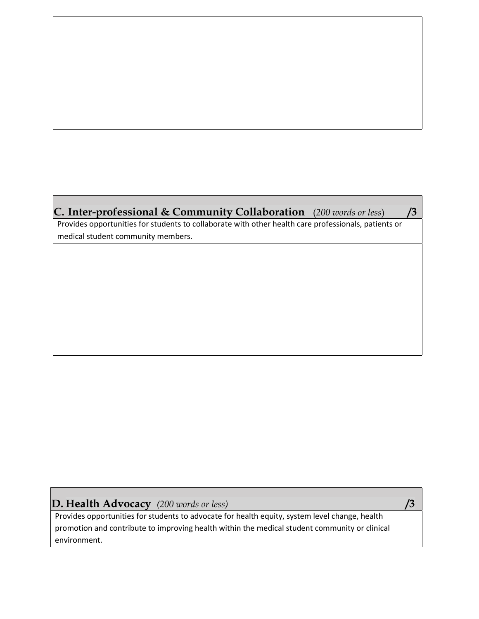| <b>C. Inter-professional &amp; Community Collaboration</b> (200 words or less)                       |  |
|------------------------------------------------------------------------------------------------------|--|
| Provides opportunities for students to collaborate with other health care professionals, patients or |  |

medical student community members.

## **D. Health Advocacy** *(200 words or less)* **/3**

Provides opportunities for students to advocate for health equity, system level change, health promotion and contribute to improving health within the medical student community or clinical environment.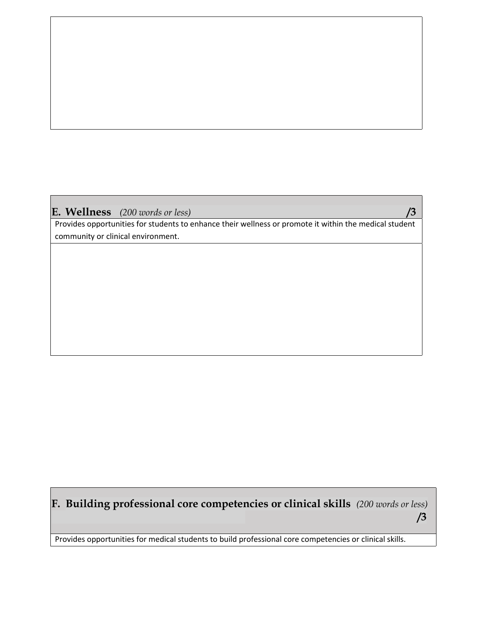## **E. Wellness** *(200 words or less)* **/3**

Provides opportunities for students to enhance their wellness or promote it within the medical student community or clinical environment.

# **F. Building professional core competencies or clinical skills** *(200 words or less)* **/3**

Provides opportunities for medical students to build professional core competencies or clinical skills.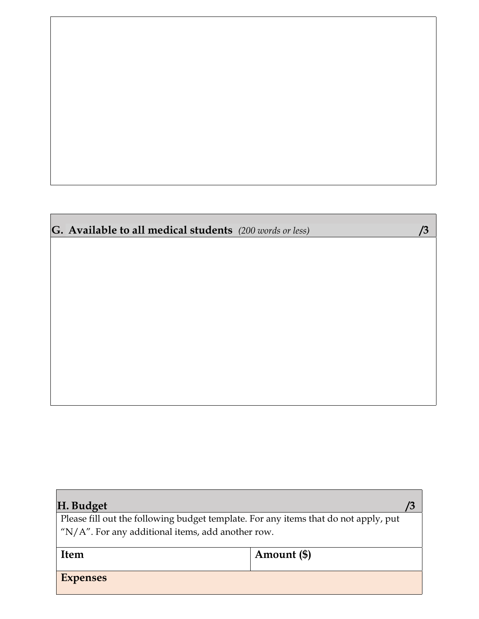# **G. Available to all medical students** *(200 words or less)* **/3**

| H. Budget                                                                           |             |  |
|-------------------------------------------------------------------------------------|-------------|--|
| Please fill out the following budget template. For any items that do not apply, put |             |  |
| $N/A$ ". For any additional items, add another row.                                 |             |  |
| <b>Item</b>                                                                         | Amount (\$) |  |
| <b>Expenses</b>                                                                     |             |  |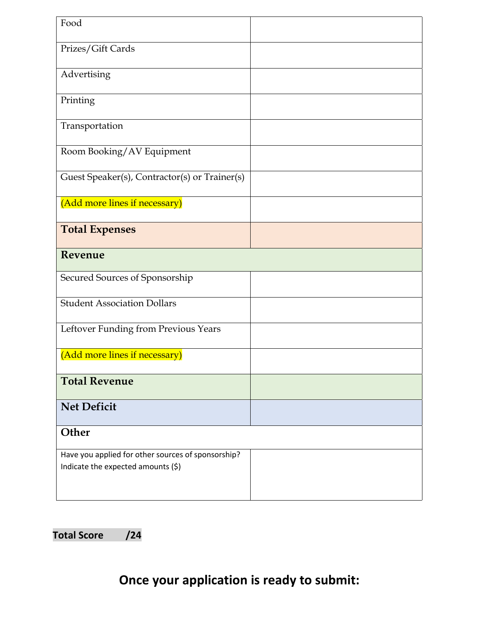| Food                                                                                     |  |
|------------------------------------------------------------------------------------------|--|
| Prizes/Gift Cards                                                                        |  |
| Advertising                                                                              |  |
| Printing                                                                                 |  |
| Transportation                                                                           |  |
| Room Booking/AV Equipment                                                                |  |
| Guest Speaker(s), Contractor(s) or Trainer(s)                                            |  |
| (Add more lines if necessary)                                                            |  |
| <b>Total Expenses</b>                                                                    |  |
| Revenue                                                                                  |  |
| Secured Sources of Sponsorship                                                           |  |
| <b>Student Association Dollars</b>                                                       |  |
| Leftover Funding from Previous Years                                                     |  |
| (Add more lines if necessary)                                                            |  |
| <b>Total Revenue</b>                                                                     |  |
| <b>Net Deficit</b>                                                                       |  |
| Other                                                                                    |  |
| Have you applied for other sources of sponsorship?<br>Indicate the expected amounts (\$) |  |

**Total Score /24**

# **Once your application is ready to submit:**